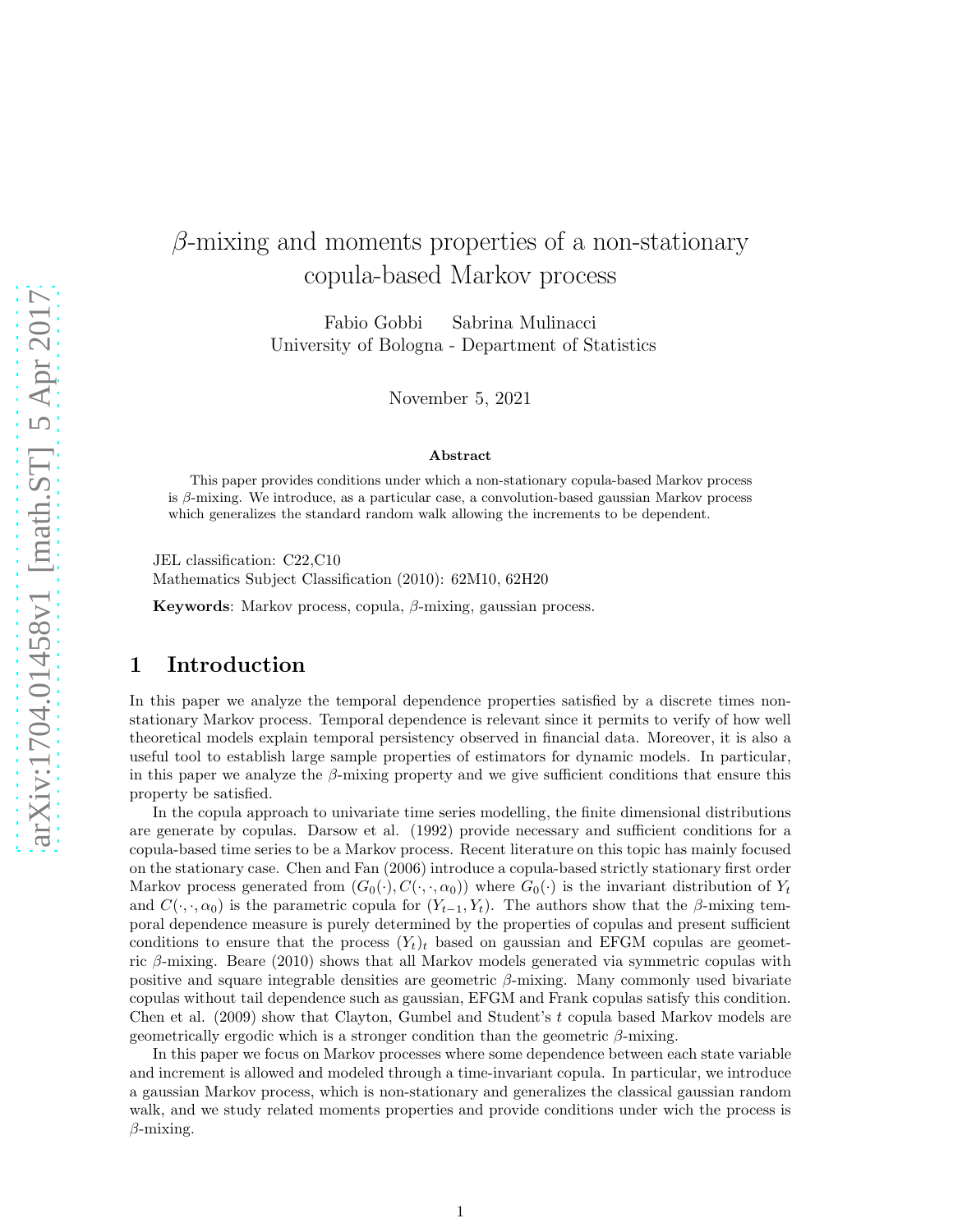# $\beta$ -mixing and moments properties of a non-stationary copula-based Markov process

Fabio Gobbi Sabrina Mulinacci University of Bologna - Department of Statistics

November 5, 2021

#### Abstract

This paper provides conditions under which a non-stationary copula-based Markov process is  $\beta$ -mixing. We introduce, as a particular case, a convolution-based gaussian Markov process which generalizes the standard random walk allowing the increments to be dependent.

JEL classification: C22,C10 Mathematics Subject Classification (2010): 62M10, 62H20

Keywords: Markov process, copula,  $\beta$ -mixing, gaussian process.

#### 1 Introduction

In this paper we analyze the temporal dependence properties satisfied by a discrete times nonstationary Markov process. Temporal dependence is relevant since it permits to verify of how well theoretical models explain temporal persistency observed in financial data. Moreover, it is also a useful tool to establish large sample properties of estimators for dynamic models. In particular, in this paper we analyze the  $\beta$ -mixing property and we give sufficient conditions that ensure this property be satisfied.

In the copula approach to univariate time series modelling, the finite dimensional distributions are generate by copulas. Darsow et al. (1992) provide necessary and sufficient conditions for a copula-based time series to be a Markov process. Recent literature on this topic has mainly focused on the stationary case. Chen and Fan (2006) introduce a copula-based strictly stationary first order Markov process generated from  $(G_0(\cdot), C(\cdot, \cdot, \alpha_0))$  where  $G_0(\cdot)$  is the invariant distribution of  $Y_t$ and  $C(\cdot, \cdot, \alpha_0)$  is the parametric copula for  $(Y_{t-1}, Y_t)$ . The authors show that the β-mixing temporal dependence measure is purely determined by the properties of copulas and present sufficient conditions to ensure that the process  $(Y_t)_t$  based on gaussian and EFGM copulas are geometric β-mixing. Beare (2010) shows that all Markov models generated via symmetric copulas with positive and square integrable densities are geometric  $\beta$ -mixing. Many commonly used bivariate copulas without tail dependence such as gaussian, EFGM and Frank copulas satisfy this condition. Chen et al.  $(2009)$  show that Clayton, Gumbel and Student's t copula based Markov models are geometrically ergodic which is a stronger condition than the geometric  $\beta$ -mixing.

In this paper we focus on Markov processes where some dependence between each state variable and increment is allowed and modeled through a time-invariant copula. In particular, we introduce a gaussian Markov process, which is non-stationary and generalizes the classical gaussian random walk, and we study related moments properties and provide conditions under wich the process is  $\beta$ -mixing.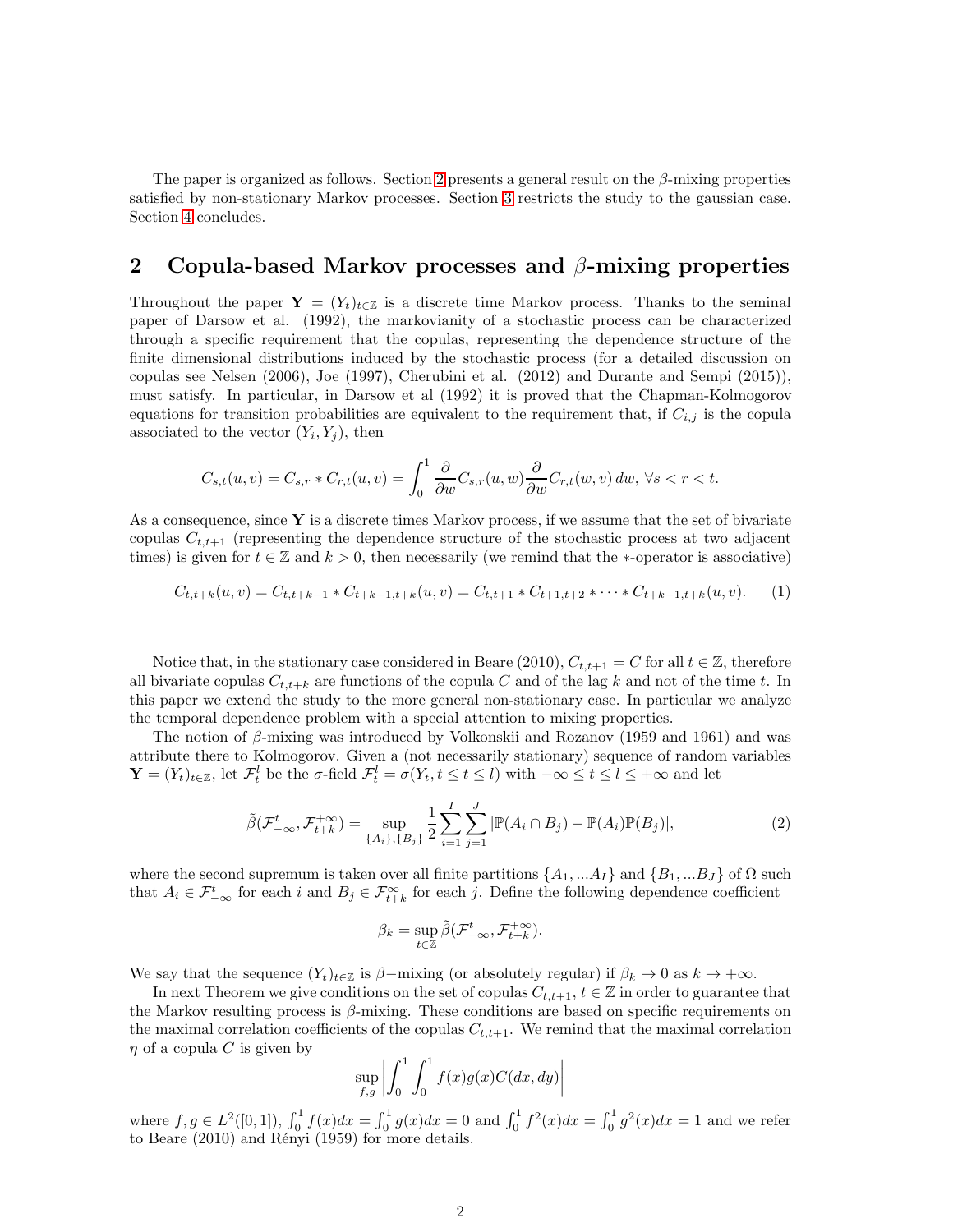The paper is organized as follows. Section [2](#page-1-0) presents a general result on the  $\beta$ -mixing properties satisfied by non-stationary Markov processes. Section [3](#page-3-0) restricts the study to the gaussian case. Section [4](#page-5-0) concludes.

#### <span id="page-1-0"></span>2 Copula-based Markov processes and  $\beta$ -mixing properties

Throughout the paper  $\mathbf{Y} = (Y_t)_{t \in \mathbb{Z}}$  is a discrete time Markov process. Thanks to the seminal paper of Darsow et al. (1992), the markovianity of a stochastic process can be characterized through a specific requirement that the copulas, representing the dependence structure of the finite dimensional distributions induced by the stochastic process (for a detailed discussion on copulas see Nelsen (2006), Joe (1997), Cherubini et al. (2012) and Durante and Sempi (2015)), must satisfy. In particular, in Darsow et al (1992) it is proved that the Chapman-Kolmogorov equations for transition probabilities are equivalent to the requirement that, if  $C_{i,j}$  is the copula associated to the vector  $(Y_i, Y_j)$ , then

$$
C_{s,t}(u,v) = C_{s,r} * C_{r,t}(u,v) = \int_0^1 \frac{\partial}{\partial w} C_{s,r}(u,w) \frac{\partial}{\partial w} C_{r,t}(w,v) \, dw, \,\forall s < r < t.
$$

As a consequence, since  $Y$  is a discrete times Markov process, if we assume that the set of bivariate copulas  $C_{t,t+1}$  (representing the dependence structure of the stochastic process at two adjacent times) is given for  $t \in \mathbb{Z}$  and  $k > 0$ , then necessarily (we remind that the \*-operator is associative)

<span id="page-1-2"></span>
$$
C_{t,t+k}(u,v) = C_{t,t+k-1} * C_{t+k-1,t+k}(u,v) = C_{t,t+1} * C_{t+1,t+2} * \cdots * C_{t+k-1,t+k}(u,v).
$$
 (1)

Notice that, in the stationary case considered in Beare (2010),  $C_{t,t+1} = C$  for all  $t \in \mathbb{Z}$ , therefore all bivariate copulas  $C_{t,t+k}$  are functions of the copula C and of the lag k and not of the time t. In this paper we extend the study to the more general non-stationary case. In particular we analyze the temporal dependence problem with a special attention to mixing properties.

The notion of  $\beta$ -mixing was introduced by Volkonskii and Rozanov (1959 and 1961) and was attribute there to Kolmogorov. Given a (not necessarily stationary) sequence of random variables  $\mathbf{Y} = (Y_t)_{t \in \mathbb{Z}}$ , let  $\mathcal{F}_t^l$  be the  $\sigma$ -field  $\mathcal{F}_t^l = \sigma(Y_t, t \leq t \leq l)$  with  $-\infty \leq t \leq l \leq +\infty$  and let

<span id="page-1-1"></span>
$$
\tilde{\beta}(\mathcal{F}_{-\infty}^t, \mathcal{F}_{t+k}^{+\infty}) = \sup_{\{A_i\}, \{B_j\}} \frac{1}{2} \sum_{i=1}^I \sum_{j=1}^J |\mathbb{P}(A_i \cap B_j) - \mathbb{P}(A_i)\mathbb{P}(B_j)|, \tag{2}
$$

where the second supremum is taken over all finite partitions  $\{A_1, ... A_I\}$  and  $\{B_1, ... B_J\}$  of  $\Omega$  such that  $A_i \in \mathcal{F}_{-\infty}^t$  for each i and  $B_j \in \mathcal{F}_{t+k}^{\infty}$  for each j. Define the following dependence coefficient

$$
\beta_k = \sup_{t \in \mathbb{Z}} \tilde{\beta}(\mathcal{F}_{-\infty}^t, \mathcal{F}_{t+k}^{+\infty}).
$$

We say that the sequence  $(Y_t)_{t\in\mathbb{Z}}$  is  $\beta$ -mixing (or absolutely regular) if  $\beta_k \to 0$  as  $k \to +\infty$ .

In next Theorem we give conditions on the set of copulas  $C_{t,t+1}$ ,  $t \in \mathbb{Z}$  in order to guarantee that the Markov resulting process is  $\beta$ -mixing. These conditions are based on specific requirements on the maximal correlation coefficients of the copulas  $C_{t,t+1}$ . We remind that the maximal correlation  $\eta$  of a copula C is given by

$$
\sup_{f,g} \left| \int_0^1 \int_0^1 f(x)g(x)C(dx, dy) \right|
$$

where  $f, g \in L^2([0,1])$ ,  $\int_0^1 f(x)dx = \int_0^1 g(x)dx = 0$  and  $\int_0^1 f^2(x)dx = \int_0^1 g^2(x)dx = 1$  and we refer to Beare  $(2010)$  and Rényi  $(1959)$  for more details.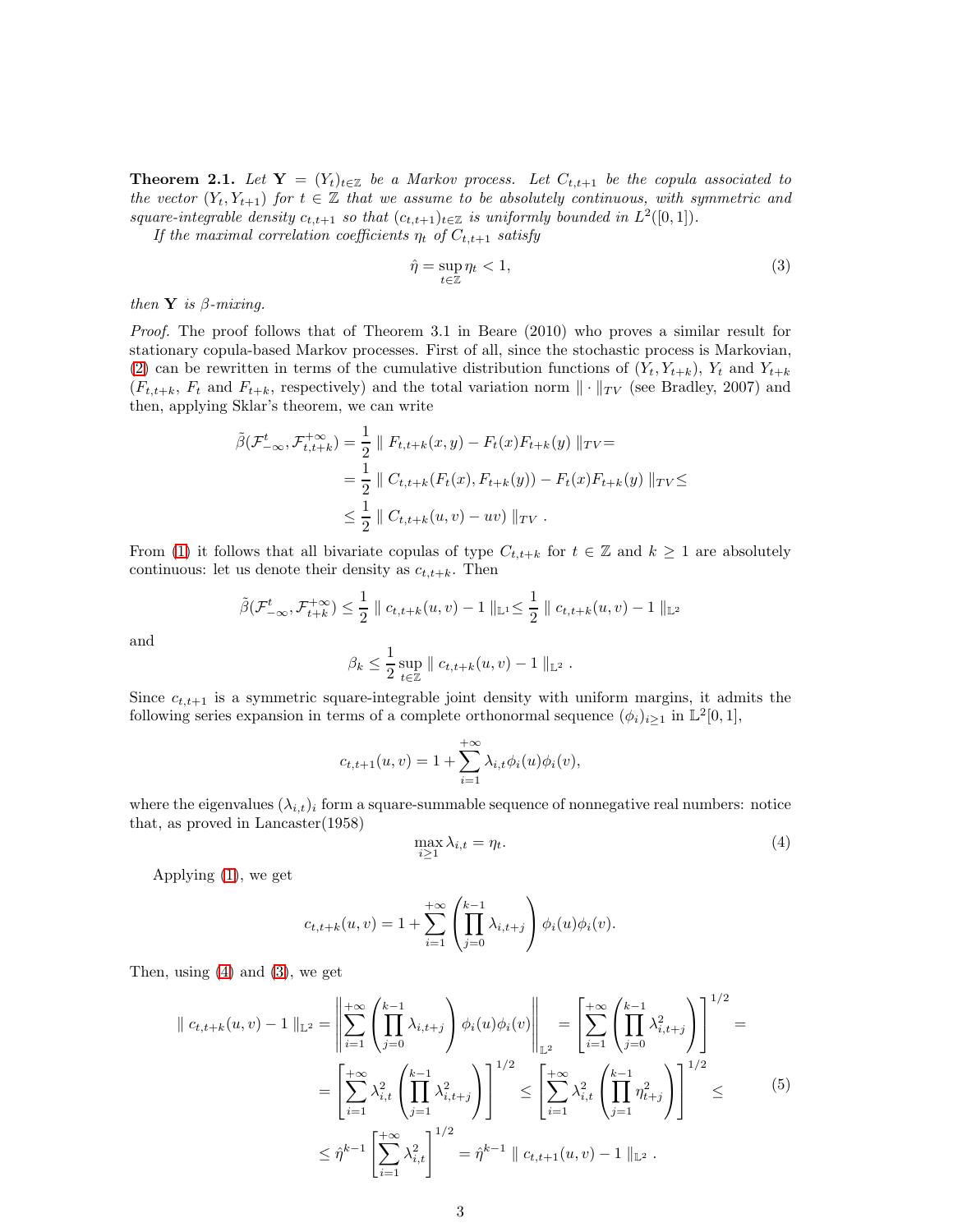<span id="page-2-2"></span>**Theorem 2.1.** Let  $Y = (Y_t)_{t \in \mathbb{Z}}$  be a Markov process. Let  $C_{t,t+1}$  be the copula associated to the vector  $(Y_t, Y_{t+1})$  for  $t \in \mathbb{Z}$  that we assume to be absolutely continuous, with symmetric and square-integrable density  $c_{t,t+1}$  so that  $(c_{t,t+1})_{t\in\mathbb{Z}}$  is uniformly bounded in  $L^2([0,1])$ .

If the maximal correlation coefficients  $\eta_t$  of  $C_{t,t+1}$  satisfy

<span id="page-2-1"></span>
$$
\hat{\eta} = \sup_{t \in \mathbb{Z}} \eta_t < 1,\tag{3}
$$

then  $Y$  is  $\beta$ -mixing.

Proof. The proof follows that of Theorem 3.1 in Beare (2010) who proves a similar result for stationary copula-based Markov processes. First of all, since the stochastic process is Markovian, [\(2\)](#page-1-1) can be rewritten in terms of the cumulative distribution functions of  $(Y_t, Y_{t+k})$ ,  $Y_t$  and  $Y_{t+k}$  $(F_{t,t+k}, F_t \text{ and } F_{t+k}, \text{ respectively})$  and the total variation norm  $\|\cdot\|_{TV}$  (see Bradley, 2007) and then, applying Sklar's theorem, we can write

$$
\tilde{\beta}(\mathcal{F}_{-\infty}^{t}, \mathcal{F}_{t,t+k}^{+\infty}) = \frac{1}{2} \| F_{t,t+k}(x,y) - F_{t}(x)F_{t+k}(y) \|_{TV} =
$$
\n
$$
= \frac{1}{2} \| C_{t,t+k}(F_{t}(x), F_{t+k}(y)) - F_{t}(x)F_{t+k}(y) \|_{TV} \le
$$
\n
$$
\le \frac{1}{2} \| C_{t,t+k}(u,v) - uv) \|_{TV}.
$$

From [\(1\)](#page-1-2) it follows that all bivariate copulas of type  $C_{t,t+k}$  for  $t \in \mathbb{Z}$  and  $k \geq 1$  are absolutely continuous: let us denote their density as  $c_{t,t+k}$ . Then

$$
\tilde{\beta}(\mathcal{F}_{-\infty}^{t}, \mathcal{F}_{t+k}^{+\infty}) \leq \frac{1}{2} \| c_{t,t+k}(u,v) - 1 \|_{\mathbb{L}^{1}} \leq \frac{1}{2} \| c_{t,t+k}(u,v) - 1 \|_{\mathbb{L}^{2}}
$$

$$
\beta_{k} \leq \frac{1}{2} \sup_{t \in \mathbb{Z}} \| c_{t,t+k}(u,v) - 1 \|_{\mathbb{L}^{2}}.
$$

and

Since 
$$
c_{t,t+1}
$$
 is a symmetric square-integrable joint density with uniform margins, it admits the following series expansion in terms of a complete orthonormal sequence  $(\phi_i)_{i\geq 1}$  in  $\mathbb{L}^2[0,1]$ ,

$$
c_{t,t+1}(u,v) = 1 + \sum_{i=1}^{+\infty} \lambda_{i,t} \phi_i(u) \phi_i(v),
$$

where the eigenvalues  $(\lambda_{i,t})_i$  form a square-summable sequence of nonnegative real numbers: notice that, as proved in Lancaster(1958)

<span id="page-2-0"></span>
$$
\max_{i\geq 1} \lambda_{i,t} = \eta_t. \tag{4}
$$

Applying [\(1\)](#page-1-2), we get

$$
c_{t,t+k}(u,v) = 1 + \sum_{i=1}^{+\infty} \left( \prod_{j=0}^{k-1} \lambda_{i,t+j} \right) \phi_i(u) \phi_i(v).
$$

Then, using  $(4)$  and  $(3)$ , we get

$$
\| c_{t,t+k}(u,v) - 1 \|_{\mathbb{L}^2} = \left\| \sum_{i=1}^{+\infty} \left( \prod_{j=0}^{k-1} \lambda_{i,t+j} \right) \phi_i(u) \phi_i(v) \right\|_{\mathbb{L}^2} = \left[ \sum_{i=1}^{+\infty} \left( \prod_{j=0}^{k-1} \lambda_{i,t+j}^2 \right) \right]^{1/2} =
$$
  

$$
= \left[ \sum_{i=1}^{+\infty} \lambda_{i,t}^2 \left( \prod_{j=1}^{k-1} \lambda_{i,t+j}^2 \right) \right]^{1/2} \le \left[ \sum_{i=1}^{+\infty} \lambda_{i,t}^2 \left( \prod_{j=1}^{k-1} \eta_{t+j}^2 \right) \right]^{1/2} \le 0
$$
  

$$
\le \hat{\eta}^{k-1} \left[ \sum_{i=1}^{+\infty} \lambda_{i,t}^2 \right]^{1/2} = \hat{\eta}^{k-1} \| c_{t,t+1}(u,v) - 1 \|_{\mathbb{L}^2} .
$$
 (5)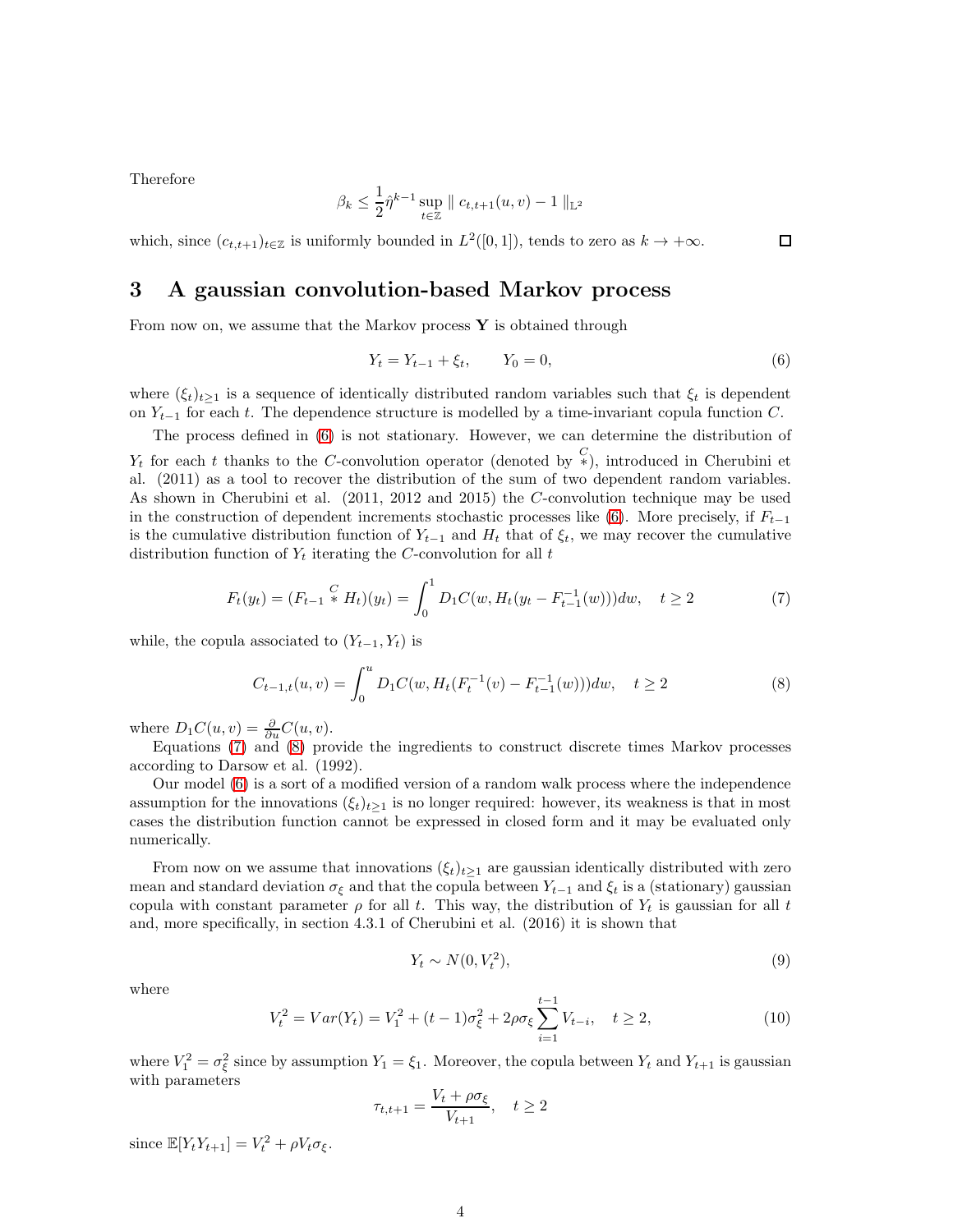Therefore

$$
\beta_k \leq \frac{1}{2} \hat{\eta}^{k-1} \sup_{t \in \mathbb{Z}} \parallel c_{t,t+1}(u,v) - 1 \parallel_{\mathbb{L}^2}
$$

which, since  $(c_{t,t+1})_{t\in\mathbb{Z}}$  is uniformly bounded in  $L^2([0,1])$ , tends to zero as  $k\to+\infty$ .

 $\Box$ 

# <span id="page-3-0"></span>3 A gaussian convolution-based Markov process

From now on, we assume that the Markov process  $\mathbf Y$  is obtained through

<span id="page-3-1"></span>
$$
Y_t = Y_{t-1} + \xi_t, \qquad Y_0 = 0,\tag{6}
$$

where  $(\xi_t)_{t>1}$  is a sequence of identically distributed random variables such that  $\xi_t$  is dependent on  $Y_{t-1}$  for each t. The dependence structure is modelled by a time-invariant copula function C.

The process defined in [\(6\)](#page-3-1) is not stationary. However, we can determine the distribution of  $Y_t$  for each t thanks to the C-convolution operator (denoted by  $\frac{C}{\ast}$ ), introduced in Cherubini et al. (2011) as a tool to recover the distribution of the sum of two dependent random variables. As shown in Cherubini et al. (2011, 2012 and 2015) the C-convolution technique may be used in the construction of dependent increments stochastic processes like [\(6\)](#page-3-1). More precisely, if  $F_{t-1}$ is the cumulative distribution function of  $Y_{t-1}$  and  $H_t$  that of  $\xi_t$ , we may recover the cumulative distribution function of  $Y_t$  iterating the C-convolution for all  $t$ 

<span id="page-3-2"></span>
$$
F_t(y_t) = (F_{t-1} \stackrel{C}{*} H_t)(y_t) = \int_0^1 D_1 C(w, H_t(y_t - F_{t-1}^{-1}(w))) dw, \quad t \ge 2
$$
 (7)

while, the copula associated to  $(Y_{t-1}, Y_t)$  is

<span id="page-3-3"></span>
$$
C_{t-1,t}(u,v) = \int_0^u D_1C(w, H_t(F_t^{-1}(v) - F_{t-1}^{-1}(w)))dw, \quad t \ge 2
$$
\n(8)

where  $D_1 C(u, v) = \frac{\partial}{\partial u} C(u, v)$ .

Equations [\(7\)](#page-3-2) and [\(8\)](#page-3-3) provide the ingredients to construct discrete times Markov processes according to Darsow et al. (1992).

Our model [\(6\)](#page-3-1) is a sort of a modified version of a random walk process where the independence assumption for the innovations  $(\xi_t)_{t\geq 1}$  is no longer required: however, its weakness is that in most cases the distribution function cannot be expressed in closed form and it may be evaluated only numerically.

From now on we assume that innovations  $(\xi_t)_{t\geq 1}$  are gaussian identically distributed with zero mean and standard deviation  $\sigma_{\xi}$  and that the copula between  $Y_{t-1}$  and  $\xi_t$  is a (stationary) gaussian copula with constant parameter  $\rho$  for all t. This way, the distribution of  $Y_t$  is gaussian for all t and, more specifically, in section 4.3.1 of Cherubini et al. (2016) it is shown that

$$
Y_t \sim N(0, V_t^2),\tag{9}
$$

where

$$
V_t^2 = Var(Y_t) = V_1^2 + (t - 1)\sigma_{\xi}^2 + 2\rho\sigma_{\xi} \sum_{i=1}^{t-1} V_{t-i}, \quad t \ge 2,
$$
\n(10)

where  $V_1^2 = \sigma_{\xi}^2$  since by assumption  $Y_1 = \xi_1$ . Moreover, the copula between  $Y_t$  and  $Y_{t+1}$  is gaussian with parameters

$$
\tau_{t,t+1} = \frac{V_t + \rho \sigma_{\xi}}{V_{t+1}}, \quad t \ge 2
$$

since  $\mathbb{E}[Y_t Y_{t+1}] = V_t^2 + \rho V_t \sigma_{\xi}$ .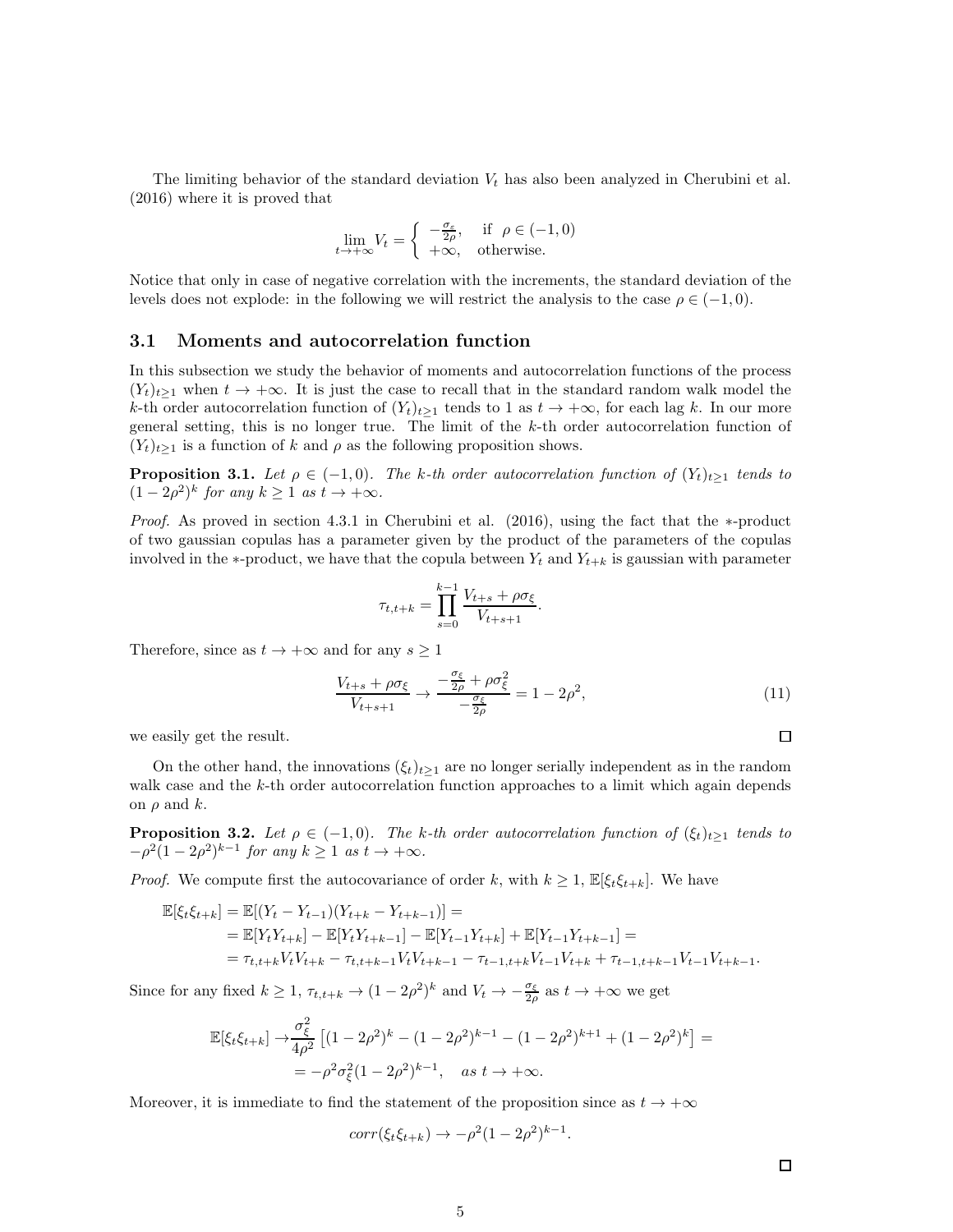The limiting behavior of the standard deviation  $V_t$  has also been analyzed in Cherubini et al. (2016) where it is proved that

$$
\lim_{t \to +\infty} V_t = \begin{cases} -\frac{\sigma_{\varepsilon}}{2\rho}, & \text{if } \rho \in (-1,0) \\ +\infty, & \text{otherwise.} \end{cases}
$$

Notice that only in case of negative correlation with the increments, the standard deviation of the levels does not explode: in the following we will restrict the analysis to the case  $\rho \in (-1, 0)$ .

#### 3.1 Moments and autocorrelation function

In this subsection we study the behavior of moments and autocorrelation functions of the process  $(Y_t)_{t\geq 1}$  when  $t \to +\infty$ . It is just the case to recall that in the standard random walk model the k-th order autocorrelation function of  $(Y_t)_{t\geq 1}$  tends to 1 as  $t \to +\infty$ , for each lag k. In our more general setting, this is no longer true. The limit of the k-th order autocorrelation function of  $(Y_t)_{t\geq 1}$  is a function of k and  $\rho$  as the following proposition shows.

**Proposition 3.1.** Let  $\rho \in (-1, 0)$ . The k-th order autocorrelation function of  $(Y_t)_{t\geq 1}$  tends to  $(1-2\rho^2)^k$  for any  $k \ge 1$  as  $t \to +\infty$ .

Proof. As proved in section 4.3.1 in Cherubini et al. (2016), using the fact that the ∗-product of two gaussian copulas has a parameter given by the product of the parameters of the copulas involved in the ∗-product, we have that the copula between  $Y_t$  and  $Y_{t+k}$  is gaussian with parameter

$$
\tau_{t,t+k} = \prod_{s=0}^{k-1} \frac{V_{t+s} + \rho \sigma_{\xi}}{V_{t+s+1}}.
$$

Therefore, since as  $t \to +\infty$  and for any  $s \geq 1$ 

<span id="page-4-0"></span>
$$
\frac{V_{t+s} + \rho \sigma_{\xi}}{V_{t+s+1}} \to \frac{-\frac{\sigma_{\xi}}{2\rho} + \rho \sigma_{\xi}^2}{-\frac{\sigma_{\xi}}{2\rho}} = 1 - 2\rho^2,\tag{11}
$$

we easily get the result.

On the other hand, the innovations  $(\xi_t)_{t\geq 1}$  are no longer serially independent as in the random walk case and the k-th order autocorrelation function approaches to a limit which again depends on  $\rho$  and  $k$ .

**Proposition 3.2.** Let  $\rho \in (-1,0)$ . The k-th order autocorrelation function of  $(\xi_t)_{t\geq 1}$  tends to  $-\rho^2(1-2\rho^2)^{k-1}$  for any  $k \ge 1$  as  $t \to +\infty$ .

*Proof.* We compute first the autocovariance of order k, with  $k \geq 1$ ,  $\mathbb{E}[\xi_t \xi_{t+k}]$ . We have

$$
\mathbb{E}[\xi_t \xi_{t+k}] = \mathbb{E}[(Y_t - Y_{t-1})(Y_{t+k} - Y_{t+k-1})] =
$$
  
\n
$$
= \mathbb{E}[Y_t Y_{t+k}] - \mathbb{E}[Y_t Y_{t+k-1}] - \mathbb{E}[Y_{t-1} Y_{t+k}] + \mathbb{E}[Y_{t-1} Y_{t+k-1}] =
$$
  
\n
$$
= \tau_{t,t+k} V_t V_{t+k} - \tau_{t,t+k-1} V_t V_{t+k-1} - \tau_{t-1,t+k} V_{t-1} V_{t+k} + \tau_{t-1,t+k-1} V_{t-1} V_{t+k-1}.
$$

Since for any fixed  $k \geq 1$ ,  $\tau_{t,t+k} \to (1 - 2\rho^2)^k$  and  $V_t \to -\frac{\sigma_{\xi}}{2\rho}$  as  $t \to +\infty$  we get

$$
\mathbb{E}[\xi_t \xi_{t+k}] \to \frac{\sigma_{\xi}^2}{4\rho^2} \left[ (1 - 2\rho^2)^k - (1 - 2\rho^2)^{k-1} - (1 - 2\rho^2)^{k+1} + (1 - 2\rho^2)^k \right] =
$$
  
=  $-\rho^2 \sigma_{\xi}^2 (1 - 2\rho^2)^{k-1}, \quad \text{as } t \to +\infty.$ 

Moreover, it is immediate to find the statement of the proposition since as  $t \to +\infty$ 

$$
corr(\xi_t \xi_{t+k}) \to -\rho^2 (1 - 2\rho^2)^{k-1}.
$$

 $\Box$ 

 $\Box$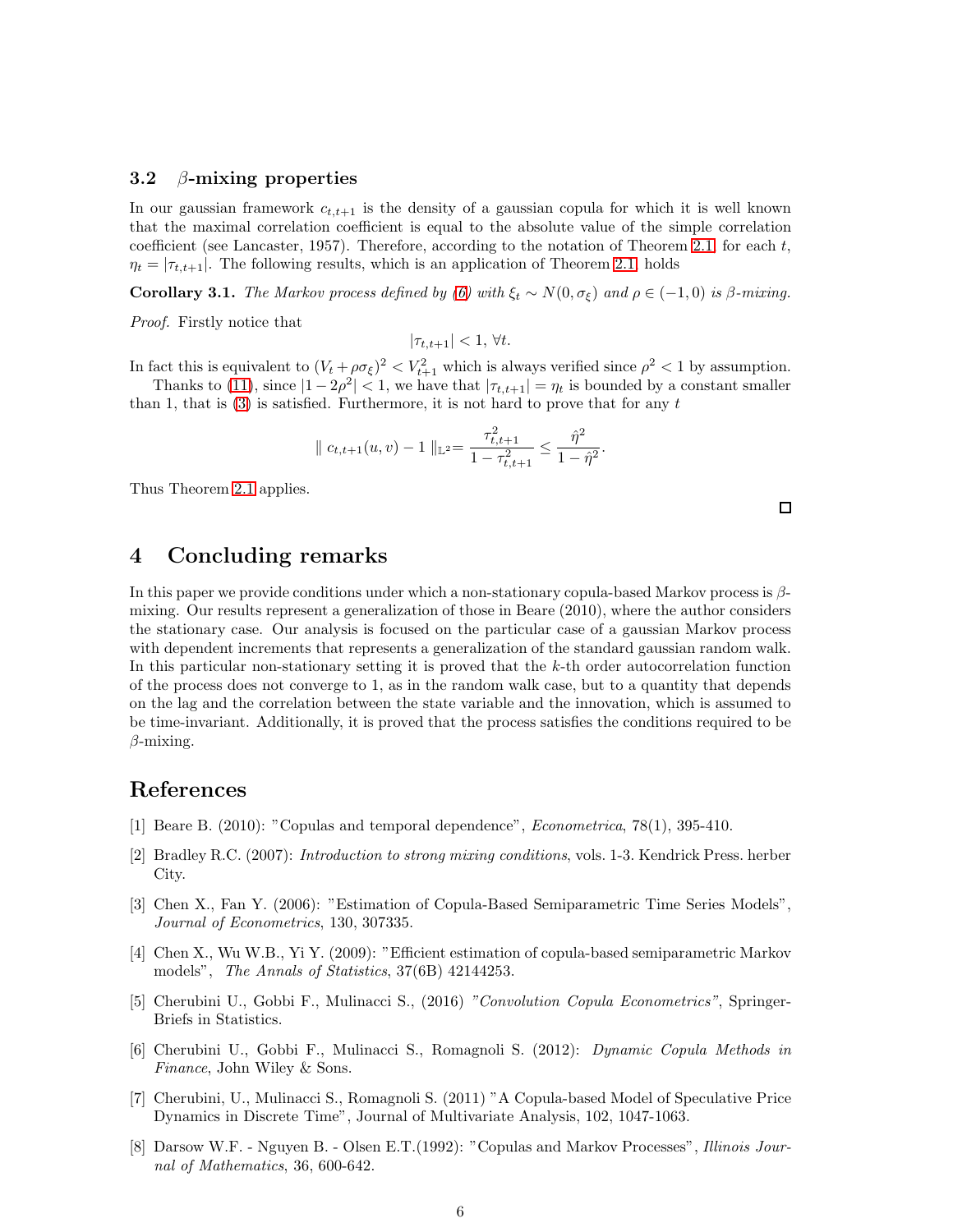#### 3.2  $\beta$ -mixing properties

In our gaussian framework  $c_{t,t+1}$  is the density of a gaussian copula for which it is well known that the maximal correlation coefficient is equal to the absolute value of the simple correlation coefficient (see Lancaster, 1957). Therefore, according to the notation of Theorem [2.1,](#page-2-2) for each  $t$ ,  $\eta_t = |\tau_{t,t+1}|$ . The following results, which is an application of Theorem [2.1,](#page-2-2) holds

Corollary 3.1. The Markov process defined by [\(6\)](#page-3-1) with  $\xi_t \sim N(0, \sigma_{\xi})$  and  $\rho \in (-1, 0)$  is β-mixing.

Proof. Firstly notice that

 $|\tau_{t,t+1}| < 1, \forall t$ .

In fact this is equivalent to  $(V_t + \rho \sigma_{\xi})^2 < V_{t+1}^2$  which is always verified since  $\rho^2 < 1$  by assumption. Thanks to [\(11\)](#page-4-0), since  $|1 - 2\rho^2| < 1$ , we have that  $|\tau_{t,t+1}| = \eta_t$  is bounded by a constant smaller than 1, that is  $(3)$  is satisfied. Furthermore, it is not hard to prove that for any t

$$
\| c_{t,t+1}(u,v) - 1 \|_{\mathbb{L}^2} = \frac{\tau_{t,t+1}^2}{1 - \tau_{t,t+1}^2} \le \frac{\hat{\eta}^2}{1 - \hat{\eta}^2}.
$$

Thus Theorem [2.1](#page-2-2) applies.

 $\Box$ 

## <span id="page-5-0"></span>4 Concluding remarks

In this paper we provide conditions under which a non-stationary copula-based Markov process is  $\beta$ mixing. Our results represent a generalization of those in Beare (2010), where the author considers the stationary case. Our analysis is focused on the particular case of a gaussian Markov process with dependent increments that represents a generalization of the standard gaussian random walk. In this particular non-stationary setting it is proved that the  $k$ -th order autocorrelation function of the process does not converge to 1, as in the random walk case, but to a quantity that depends on the lag and the correlation between the state variable and the innovation, which is assumed to be time-invariant. Additionally, it is proved that the process satisfies the conditions required to be  $\beta$ -mixing.

### References

- [1] Beare B. (2010): "Copulas and temporal dependence", Econometrica, 78(1), 395-410.
- [2] Bradley R.C. (2007): Introduction to strong mixing conditions, vols. 1-3. Kendrick Press. herber City.
- [3] Chen X., Fan Y. (2006): "Estimation of Copula-Based Semiparametric Time Series Models", Journal of Econometrics, 130, 307335.
- [4] Chen X., Wu W.B., Yi Y. (2009): "Efficient estimation of copula-based semiparametric Markov models", The Annals of Statistics, 37(6B) 42144253.
- [5] Cherubini U., Gobbi F., Mulinacci S., (2016) "Convolution Copula Econometrics", Springer-Briefs in Statistics.
- [6] Cherubini U., Gobbi F., Mulinacci S., Romagnoli S. (2012): Dynamic Copula Methods in Finance, John Wiley & Sons.
- [7] Cherubini, U., Mulinacci S., Romagnoli S. (2011) "A Copula-based Model of Speculative Price Dynamics in Discrete Time", Journal of Multivariate Analysis, 102, 1047-1063.
- [8] Darsow W.F. Nguyen B. Olsen E.T.(1992): "Copulas and Markov Processes", Illinois Journal of Mathematics, 36, 600-642.